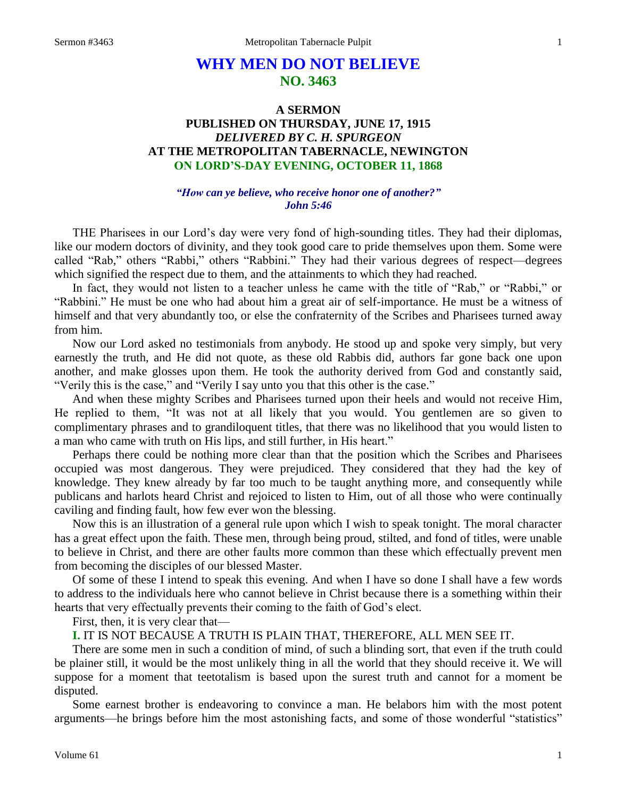# **WHY MEN DO NOT BELIEVE NO. 3463**

# **A SERMON PUBLISHED ON THURSDAY, JUNE 17, 1915** *DELIVERED BY C. H. SPURGEON* **AT THE METROPOLITAN TABERNACLE, NEWINGTON ON LORD'S-DAY EVENING, OCTOBER 11, 1868**

#### *"How can ye believe, who receive honor one of another?" John 5:46*

THE Pharisees in our Lord's day were very fond of high-sounding titles. They had their diplomas, like our modern doctors of divinity, and they took good care to pride themselves upon them. Some were called "Rab," others "Rabbi," others "Rabbini." They had their various degrees of respect—degrees which signified the respect due to them, and the attainments to which they had reached.

In fact, they would not listen to a teacher unless he came with the title of "Rab," or "Rabbi," or "Rabbini." He must be one who had about him a great air of self-importance. He must be a witness of himself and that very abundantly too, or else the confraternity of the Scribes and Pharisees turned away from him.

Now our Lord asked no testimonials from anybody. He stood up and spoke very simply, but very earnestly the truth, and He did not quote, as these old Rabbis did, authors far gone back one upon another, and make glosses upon them. He took the authority derived from God and constantly said, "Verily this is the case," and "Verily I say unto you that this other is the case."

And when these mighty Scribes and Pharisees turned upon their heels and would not receive Him, He replied to them, "It was not at all likely that you would. You gentlemen are so given to complimentary phrases and to grandiloquent titles, that there was no likelihood that you would listen to a man who came with truth on His lips, and still further, in His heart."

Perhaps there could be nothing more clear than that the position which the Scribes and Pharisees occupied was most dangerous. They were prejudiced. They considered that they had the key of knowledge. They knew already by far too much to be taught anything more, and consequently while publicans and harlots heard Christ and rejoiced to listen to Him, out of all those who were continually caviling and finding fault, how few ever won the blessing.

Now this is an illustration of a general rule upon which I wish to speak tonight. The moral character has a great effect upon the faith. These men, through being proud, stilted, and fond of titles, were unable to believe in Christ, and there are other faults more common than these which effectually prevent men from becoming the disciples of our blessed Master.

Of some of these I intend to speak this evening. And when I have so done I shall have a few words to address to the individuals here who cannot believe in Christ because there is a something within their hearts that very effectually prevents their coming to the faith of God's elect.

First, then, it is very clear that—

**I.** IT IS NOT BECAUSE A TRUTH IS PLAIN THAT, THEREFORE, ALL MEN SEE IT.

There are some men in such a condition of mind, of such a blinding sort, that even if the truth could be plainer still, it would be the most unlikely thing in all the world that they should receive it. We will suppose for a moment that teetotalism is based upon the surest truth and cannot for a moment be disputed.

Some earnest brother is endeavoring to convince a man. He belabors him with the most potent arguments—he brings before him the most astonishing facts, and some of those wonderful "statistics"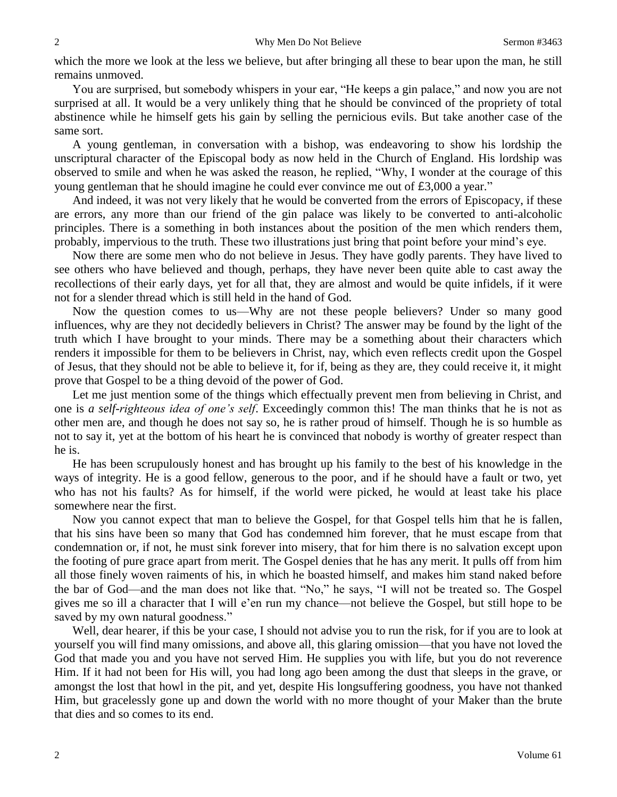which the more we look at the less we believe, but after bringing all these to bear upon the man, he still remains unmoved.

You are surprised, but somebody whispers in your ear, "He keeps a gin palace," and now you are not surprised at all. It would be a very unlikely thing that he should be convinced of the propriety of total abstinence while he himself gets his gain by selling the pernicious evils. But take another case of the same sort.

A young gentleman, in conversation with a bishop, was endeavoring to show his lordship the unscriptural character of the Episcopal body as now held in the Church of England. His lordship was observed to smile and when he was asked the reason, he replied, "Why, I wonder at the courage of this young gentleman that he should imagine he could ever convince me out of £3,000 a year."

And indeed, it was not very likely that he would be converted from the errors of Episcopacy, if these are errors, any more than our friend of the gin palace was likely to be converted to anti-alcoholic principles. There is a something in both instances about the position of the men which renders them, probably, impervious to the truth. These two illustrations just bring that point before your mind's eye.

Now there are some men who do not believe in Jesus. They have godly parents. They have lived to see others who have believed and though, perhaps, they have never been quite able to cast away the recollections of their early days, yet for all that, they are almost and would be quite infidels, if it were not for a slender thread which is still held in the hand of God.

Now the question comes to us—Why are not these people believers? Under so many good influences, why are they not decidedly believers in Christ? The answer may be found by the light of the truth which I have brought to your minds. There may be a something about their characters which renders it impossible for them to be believers in Christ, nay, which even reflects credit upon the Gospel of Jesus, that they should not be able to believe it, for if, being as they are, they could receive it, it might prove that Gospel to be a thing devoid of the power of God.

Let me just mention some of the things which effectually prevent men from believing in Christ, and one is *a self-righteous idea of one's self*. Exceedingly common this! The man thinks that he is not as other men are, and though he does not say so, he is rather proud of himself. Though he is so humble as not to say it, yet at the bottom of his heart he is convinced that nobody is worthy of greater respect than he is.

He has been scrupulously honest and has brought up his family to the best of his knowledge in the ways of integrity. He is a good fellow, generous to the poor, and if he should have a fault or two, yet who has not his faults? As for himself, if the world were picked, he would at least take his place somewhere near the first.

Now you cannot expect that man to believe the Gospel, for that Gospel tells him that he is fallen, that his sins have been so many that God has condemned him forever, that he must escape from that condemnation or, if not, he must sink forever into misery, that for him there is no salvation except upon the footing of pure grace apart from merit. The Gospel denies that he has any merit. It pulls off from him all those finely woven raiments of his, in which he boasted himself, and makes him stand naked before the bar of God—and the man does not like that. "No," he says, "I will not be treated so. The Gospel gives me so ill a character that I will e'en run my chance—not believe the Gospel, but still hope to be saved by my own natural goodness."

Well, dear hearer, if this be your case, I should not advise you to run the risk, for if you are to look at yourself you will find many omissions, and above all, this glaring omission—that you have not loved the God that made you and you have not served Him. He supplies you with life, but you do not reverence Him. If it had not been for His will, you had long ago been among the dust that sleeps in the grave, or amongst the lost that howl in the pit, and yet, despite His longsuffering goodness, you have not thanked Him, but gracelessly gone up and down the world with no more thought of your Maker than the brute that dies and so comes to its end.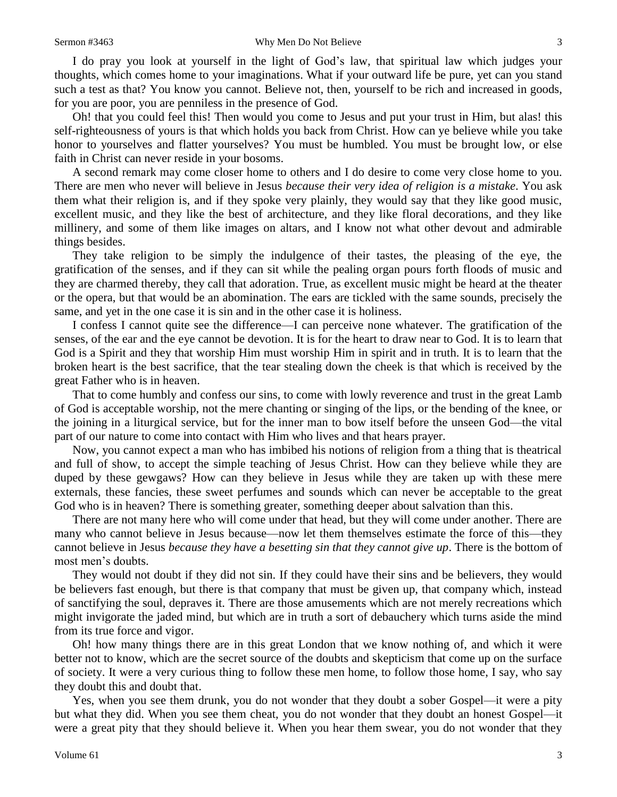I do pray you look at yourself in the light of God's law, that spiritual law which judges your thoughts, which comes home to your imaginations. What if your outward life be pure, yet can you stand such a test as that? You know you cannot. Believe not, then, yourself to be rich and increased in goods, for you are poor, you are penniless in the presence of God.

Oh! that you could feel this! Then would you come to Jesus and put your trust in Him, but alas! this self-righteousness of yours is that which holds you back from Christ. How can ye believe while you take honor to yourselves and flatter yourselves? You must be humbled. You must be brought low, or else faith in Christ can never reside in your bosoms.

A second remark may come closer home to others and I do desire to come very close home to you. There are men who never will believe in Jesus *because their very idea of religion is a mistake*. You ask them what their religion is, and if they spoke very plainly, they would say that they like good music, excellent music, and they like the best of architecture, and they like floral decorations, and they like millinery, and some of them like images on altars, and I know not what other devout and admirable things besides.

They take religion to be simply the indulgence of their tastes, the pleasing of the eye, the gratification of the senses, and if they can sit while the pealing organ pours forth floods of music and they are charmed thereby, they call that adoration. True, as excellent music might be heard at the theater or the opera, but that would be an abomination. The ears are tickled with the same sounds, precisely the same, and yet in the one case it is sin and in the other case it is holiness.

I confess I cannot quite see the difference—I can perceive none whatever. The gratification of the senses, of the ear and the eye cannot be devotion. It is for the heart to draw near to God. It is to learn that God is a Spirit and they that worship Him must worship Him in spirit and in truth. It is to learn that the broken heart is the best sacrifice, that the tear stealing down the cheek is that which is received by the great Father who is in heaven.

That to come humbly and confess our sins, to come with lowly reverence and trust in the great Lamb of God is acceptable worship, not the mere chanting or singing of the lips, or the bending of the knee, or the joining in a liturgical service, but for the inner man to bow itself before the unseen God—the vital part of our nature to come into contact with Him who lives and that hears prayer.

Now, you cannot expect a man who has imbibed his notions of religion from a thing that is theatrical and full of show, to accept the simple teaching of Jesus Christ. How can they believe while they are duped by these gewgaws? How can they believe in Jesus while they are taken up with these mere externals, these fancies, these sweet perfumes and sounds which can never be acceptable to the great God who is in heaven? There is something greater, something deeper about salvation than this.

There are not many here who will come under that head, but they will come under another. There are many who cannot believe in Jesus because—now let them themselves estimate the force of this—they cannot believe in Jesus *because they have a besetting sin that they cannot give up*. There is the bottom of most men's doubts.

They would not doubt if they did not sin. If they could have their sins and be believers, they would be believers fast enough, but there is that company that must be given up, that company which, instead of sanctifying the soul, depraves it. There are those amusements which are not merely recreations which might invigorate the jaded mind, but which are in truth a sort of debauchery which turns aside the mind from its true force and vigor.

Oh! how many things there are in this great London that we know nothing of, and which it were better not to know, which are the secret source of the doubts and skepticism that come up on the surface of society. It were a very curious thing to follow these men home, to follow those home, I say, who say they doubt this and doubt that.

Yes, when you see them drunk, you do not wonder that they doubt a sober Gospel—it were a pity but what they did. When you see them cheat, you do not wonder that they doubt an honest Gospel—it were a great pity that they should believe it. When you hear them swear, you do not wonder that they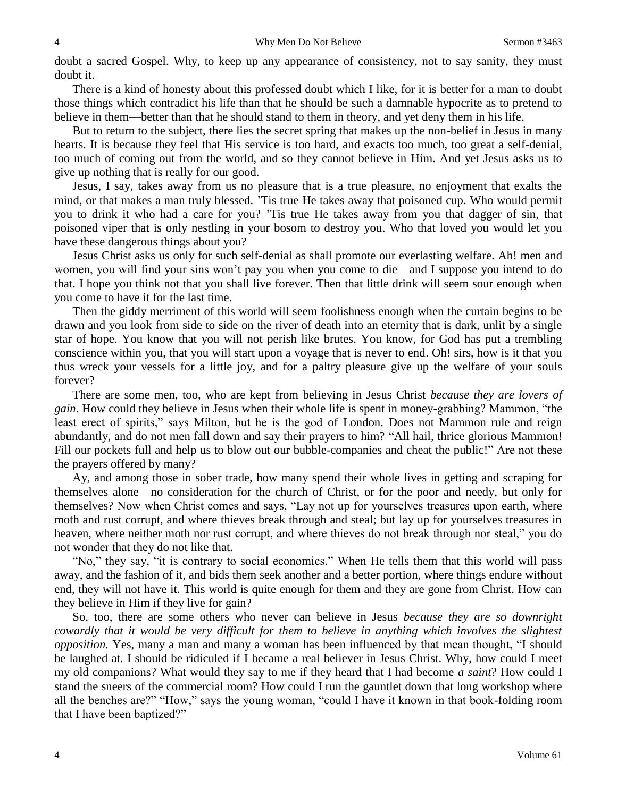doubt a sacred Gospel. Why, to keep up any appearance of consistency, not to say sanity, they must doubt it.

There is a kind of honesty about this professed doubt which I like, for it is better for a man to doubt those things which contradict his life than that he should be such a damnable hypocrite as to pretend to believe in them—better than that he should stand to them in theory, and yet deny them in his life.

But to return to the subject, there lies the secret spring that makes up the non-belief in Jesus in many hearts. It is because they feel that His service is too hard, and exacts too much, too great a self-denial, too much of coming out from the world, and so they cannot believe in Him. And yet Jesus asks us to give up nothing that is really for our good.

Jesus, I say, takes away from us no pleasure that is a true pleasure, no enjoyment that exalts the mind, or that makes a man truly blessed. 'Tis true He takes away that poisoned cup. Who would permit you to drink it who had a care for you? 'Tis true He takes away from you that dagger of sin, that poisoned viper that is only nestling in your bosom to destroy you. Who that loved you would let you have these dangerous things about you?

Jesus Christ asks us only for such self-denial as shall promote our everlasting welfare. Ah! men and women, you will find your sins won't pay you when you come to die—and I suppose you intend to do that. I hope you think not that you shall live forever. Then that little drink will seem sour enough when you come to have it for the last time.

Then the giddy merriment of this world will seem foolishness enough when the curtain begins to be drawn and you look from side to side on the river of death into an eternity that is dark, unlit by a single star of hope. You know that you will not perish like brutes. You know, for God has put a trembling conscience within you, that you will start upon a voyage that is never to end. Oh! sirs, how is it that you thus wreck your vessels for a little joy, and for a paltry pleasure give up the welfare of your souls forever?

There are some men, too, who are kept from believing in Jesus Christ *because they are lovers of gain*. How could they believe in Jesus when their whole life is spent in money-grabbing? Mammon, "the least erect of spirits," says Milton, but he is the god of London. Does not Mammon rule and reign abundantly, and do not men fall down and say their prayers to him? "All hail, thrice glorious Mammon! Fill our pockets full and help us to blow out our bubble-companies and cheat the public!" Are not these the prayers offered by many?

Ay, and among those in sober trade, how many spend their whole lives in getting and scraping for themselves alone—no consideration for the church of Christ, or for the poor and needy, but only for themselves? Now when Christ comes and says, "Lay not up for yourselves treasures upon earth, where moth and rust corrupt, and where thieves break through and steal; but lay up for yourselves treasures in heaven, where neither moth nor rust corrupt, and where thieves do not break through nor steal," you do not wonder that they do not like that.

"No," they say, "it is contrary to social economics." When He tells them that this world will pass away, and the fashion of it, and bids them seek another and a better portion, where things endure without end, they will not have it. This world is quite enough for them and they are gone from Christ. How can they believe in Him if they live for gain?

So, too, there are some others who never can believe in Jesus *because they are so downright cowardly that it would be very difficult for them to believe in anything which involves the slightest opposition.* Yes, many a man and many a woman has been influenced by that mean thought, "I should be laughed at. I should be ridiculed if I became a real believer in Jesus Christ. Why, how could I meet my old companions? What would they say to me if they heard that I had become *a saint*? How could I stand the sneers of the commercial room? How could I run the gauntlet down that long workshop where all the benches are?" "How," says the young woman, "could I have it known in that book-folding room that I have been baptized?"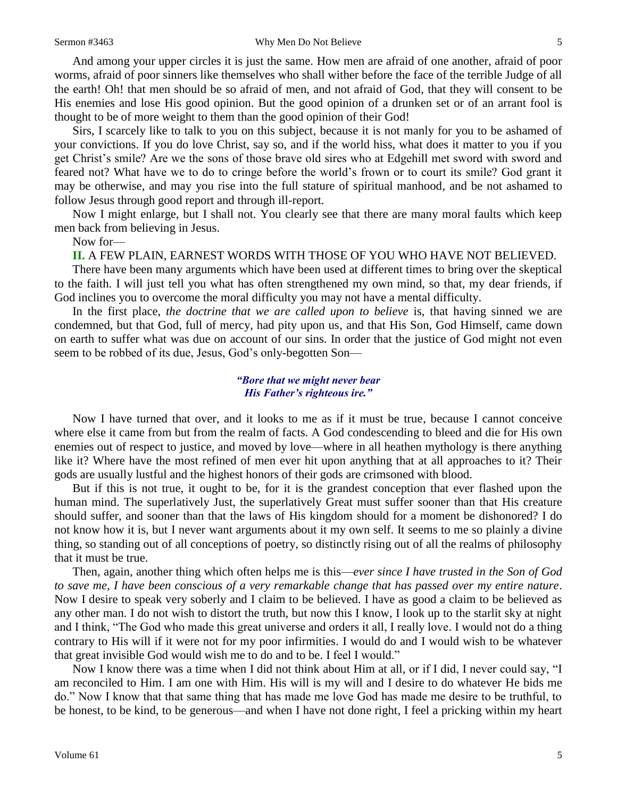#### Sermon #3463 Why Men Do Not Believe 5

And among your upper circles it is just the same. How men are afraid of one another, afraid of poor worms, afraid of poor sinners like themselves who shall wither before the face of the terrible Judge of all the earth! Oh! that men should be so afraid of men, and not afraid of God, that they will consent to be His enemies and lose His good opinion. But the good opinion of a drunken set or of an arrant fool is thought to be of more weight to them than the good opinion of their God!

Sirs, I scarcely like to talk to you on this subject, because it is not manly for you to be ashamed of your convictions. If you do love Christ, say so, and if the world hiss, what does it matter to you if you get Christ's smile? Are we the sons of those brave old sires who at Edgehill met sword with sword and feared not? What have we to do to cringe before the world's frown or to court its smile? God grant it may be otherwise, and may you rise into the full stature of spiritual manhood, and be not ashamed to follow Jesus through good report and through ill-report.

Now I might enlarge, but I shall not. You clearly see that there are many moral faults which keep men back from believing in Jesus.

Now for—

#### **II.** A FEW PLAIN, EARNEST WORDS WITH THOSE OF YOU WHO HAVE NOT BELIEVED.

There have been many arguments which have been used at different times to bring over the skeptical to the faith. I will just tell you what has often strengthened my own mind, so that, my dear friends, if God inclines you to overcome the moral difficulty you may not have a mental difficulty.

In the first place, *the doctrine that we are called upon to believe* is, that having sinned we are condemned, but that God, full of mercy, had pity upon us, and that His Son, God Himself, came down on earth to suffer what was due on account of our sins. In order that the justice of God might not even seem to be robbed of its due, Jesus, God's only-begotten Son—

### *"Bore that we might never bear His Father's righteous ire."*

Now I have turned that over, and it looks to me as if it must be true, because I cannot conceive where else it came from but from the realm of facts. A God condescending to bleed and die for His own enemies out of respect to justice, and moved by love—where in all heathen mythology is there anything like it? Where have the most refined of men ever hit upon anything that at all approaches to it? Their gods are usually lustful and the highest honors of their gods are crimsoned with blood.

But if this is not true, it ought to be, for it is the grandest conception that ever flashed upon the human mind. The superlatively Just, the superlatively Great must suffer sooner than that His creature should suffer, and sooner than that the laws of His kingdom should for a moment be dishonored? I do not know how it is, but I never want arguments about it my own self. It seems to me so plainly a divine thing, so standing out of all conceptions of poetry, so distinctly rising out of all the realms of philosophy that it must be true.

Then, again, another thing which often helps me is this—*ever since I have trusted in the Son of God to save me, I have been conscious of a very remarkable change that has passed over my entire nature*. Now I desire to speak very soberly and I claim to be believed. I have as good a claim to be believed as any other man. I do not wish to distort the truth, but now this I know, I look up to the starlit sky at night and I think, "The God who made this great universe and orders it all, I really love. I would not do a thing contrary to His will if it were not for my poor infirmities. I would do and I would wish to be whatever that great invisible God would wish me to do and to be. I feel I would."

Now I know there was a time when I did not think about Him at all, or if I did, I never could say, "I am reconciled to Him. I am one with Him. His will is my will and I desire to do whatever He bids me do." Now I know that that same thing that has made me love God has made me desire to be truthful, to be honest, to be kind, to be generous—and when I have not done right, I feel a pricking within my heart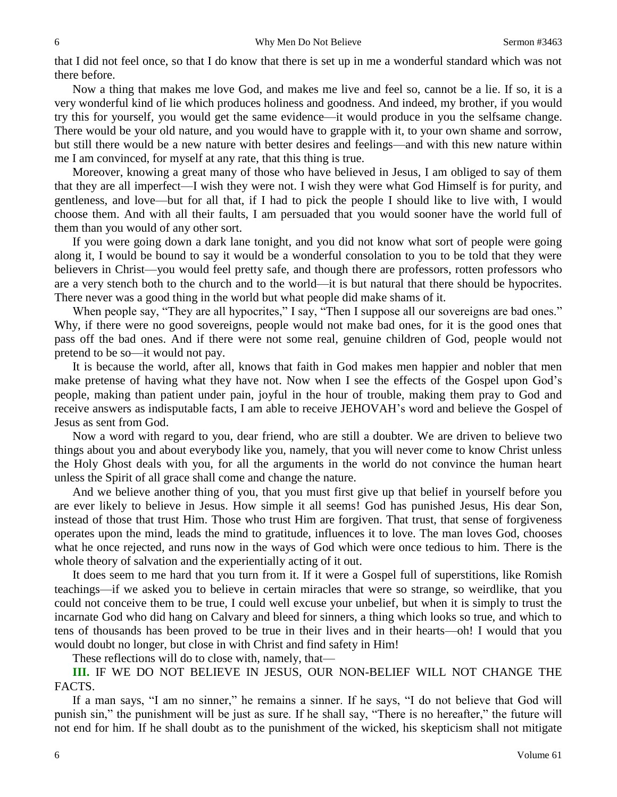that I did not feel once, so that I do know that there is set up in me a wonderful standard which was not there before.

Now a thing that makes me love God, and makes me live and feel so, cannot be a lie. If so, it is a very wonderful kind of lie which produces holiness and goodness. And indeed, my brother, if you would try this for yourself, you would get the same evidence—it would produce in you the selfsame change. There would be your old nature, and you would have to grapple with it, to your own shame and sorrow, but still there would be a new nature with better desires and feelings—and with this new nature within me I am convinced, for myself at any rate, that this thing is true.

Moreover, knowing a great many of those who have believed in Jesus, I am obliged to say of them that they are all imperfect—I wish they were not. I wish they were what God Himself is for purity, and gentleness, and love—but for all that, if I had to pick the people I should like to live with, I would choose them. And with all their faults, I am persuaded that you would sooner have the world full of them than you would of any other sort.

If you were going down a dark lane tonight, and you did not know what sort of people were going along it, I would be bound to say it would be a wonderful consolation to you to be told that they were believers in Christ—you would feel pretty safe, and though there are professors, rotten professors who are a very stench both to the church and to the world—it is but natural that there should be hypocrites. There never was a good thing in the world but what people did make shams of it.

When people say, "They are all hypocrites," I say, "Then I suppose all our sovereigns are bad ones." Why, if there were no good sovereigns, people would not make bad ones, for it is the good ones that pass off the bad ones. And if there were not some real, genuine children of God, people would not pretend to be so—it would not pay.

It is because the world, after all, knows that faith in God makes men happier and nobler that men make pretense of having what they have not. Now when I see the effects of the Gospel upon God's people, making than patient under pain, joyful in the hour of trouble, making them pray to God and receive answers as indisputable facts, I am able to receive JEHOVAH's word and believe the Gospel of Jesus as sent from God.

Now a word with regard to you, dear friend, who are still a doubter. We are driven to believe two things about you and about everybody like you, namely, that you will never come to know Christ unless the Holy Ghost deals with you, for all the arguments in the world do not convince the human heart unless the Spirit of all grace shall come and change the nature.

And we believe another thing of you, that you must first give up that belief in yourself before you are ever likely to believe in Jesus. How simple it all seems! God has punished Jesus, His dear Son, instead of those that trust Him. Those who trust Him are forgiven. That trust, that sense of forgiveness operates upon the mind, leads the mind to gratitude, influences it to love. The man loves God, chooses what he once rejected, and runs now in the ways of God which were once tedious to him. There is the whole theory of salvation and the experientially acting of it out.

It does seem to me hard that you turn from it. If it were a Gospel full of superstitions, like Romish teachings—if we asked you to believe in certain miracles that were so strange, so weirdlike, that you could not conceive them to be true, I could well excuse your unbelief, but when it is simply to trust the incarnate God who did hang on Calvary and bleed for sinners, a thing which looks so true, and which to tens of thousands has been proved to be true in their lives and in their hearts—oh! I would that you would doubt no longer, but close in with Christ and find safety in Him!

These reflections will do to close with, namely, that—

**III.** IF WE DO NOT BELIEVE IN JESUS, OUR NON-BELIEF WILL NOT CHANGE THE FACTS.

If a man says, "I am no sinner," he remains a sinner. If he says, "I do not believe that God will punish sin," the punishment will be just as sure. If he shall say, "There is no hereafter," the future will not end for him. If he shall doubt as to the punishment of the wicked, his skepticism shall not mitigate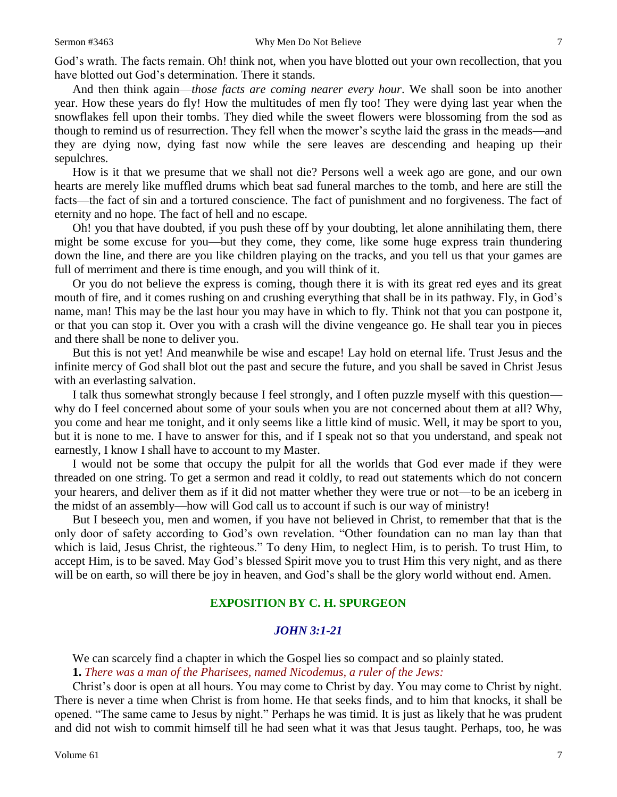God's wrath. The facts remain. Oh! think not, when you have blotted out your own recollection, that you have blotted out God's determination. There it stands.

And then think again—*those facts are coming nearer every hour*. We shall soon be into another year. How these years do fly! How the multitudes of men fly too! They were dying last year when the snowflakes fell upon their tombs. They died while the sweet flowers were blossoming from the sod as though to remind us of resurrection. They fell when the mower's scythe laid the grass in the meads—and they are dying now, dying fast now while the sere leaves are descending and heaping up their sepulchres.

How is it that we presume that we shall not die? Persons well a week ago are gone, and our own hearts are merely like muffled drums which beat sad funeral marches to the tomb, and here are still the facts—the fact of sin and a tortured conscience. The fact of punishment and no forgiveness. The fact of eternity and no hope. The fact of hell and no escape.

Oh! you that have doubted, if you push these off by your doubting, let alone annihilating them, there might be some excuse for you—but they come, they come, like some huge express train thundering down the line, and there are you like children playing on the tracks, and you tell us that your games are full of merriment and there is time enough, and you will think of it.

Or you do not believe the express is coming, though there it is with its great red eyes and its great mouth of fire, and it comes rushing on and crushing everything that shall be in its pathway. Fly, in God's name, man! This may be the last hour you may have in which to fly. Think not that you can postpone it, or that you can stop it. Over you with a crash will the divine vengeance go. He shall tear you in pieces and there shall be none to deliver you.

But this is not yet! And meanwhile be wise and escape! Lay hold on eternal life. Trust Jesus and the infinite mercy of God shall blot out the past and secure the future, and you shall be saved in Christ Jesus with an everlasting salvation.

I talk thus somewhat strongly because I feel strongly, and I often puzzle myself with this question why do I feel concerned about some of your souls when you are not concerned about them at all? Why, you come and hear me tonight, and it only seems like a little kind of music. Well, it may be sport to you, but it is none to me. I have to answer for this, and if I speak not so that you understand, and speak not earnestly, I know I shall have to account to my Master.

I would not be some that occupy the pulpit for all the worlds that God ever made if they were threaded on one string. To get a sermon and read it coldly, to read out statements which do not concern your hearers, and deliver them as if it did not matter whether they were true or not—to be an iceberg in the midst of an assembly—how will God call us to account if such is our way of ministry!

But I beseech you, men and women, if you have not believed in Christ, to remember that that is the only door of safety according to God's own revelation. "Other foundation can no man lay than that which is laid, Jesus Christ, the righteous." To deny Him, to neglect Him, is to perish. To trust Him, to accept Him, is to be saved. May God's blessed Spirit move you to trust Him this very night, and as there will be on earth, so will there be joy in heaven, and God's shall be the glory world without end. Amen.

# **EXPOSITION BY C. H. SPURGEON**

## *JOHN 3:1-21*

We can scarcely find a chapter in which the Gospel lies so compact and so plainly stated.

**1.** *There was a man of the Pharisees, named Nicodemus, a ruler of the Jews:*

Christ's door is open at all hours. You may come to Christ by day. You may come to Christ by night. There is never a time when Christ is from home. He that seeks finds, and to him that knocks, it shall be opened. "The same came to Jesus by night." Perhaps he was timid. It is just as likely that he was prudent and did not wish to commit himself till he had seen what it was that Jesus taught. Perhaps, too, he was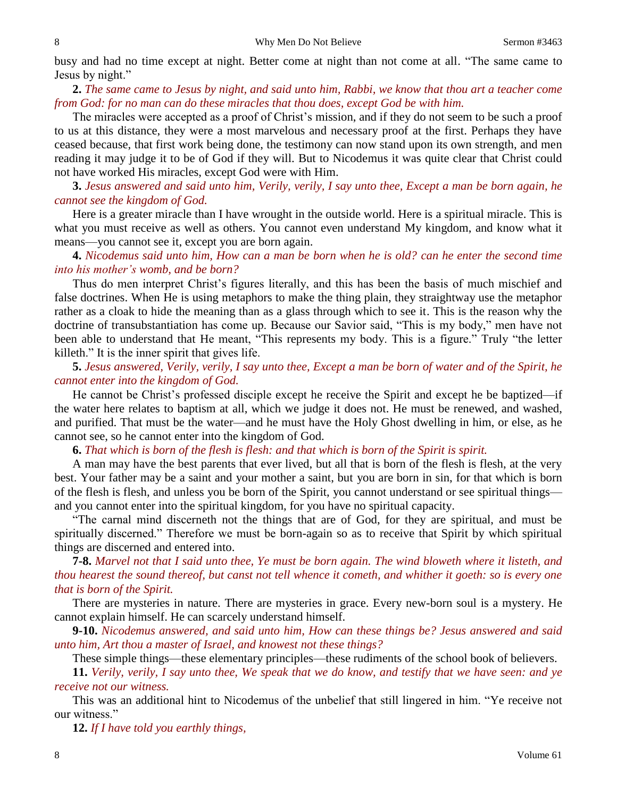busy and had no time except at night. Better come at night than not come at all. "The same came to Jesus by night."

**2.** *The same came to Jesus by night, and said unto him, Rabbi, we know that thou art a teacher come from God: for no man can do these miracles that thou does, except God be with him.* 

The miracles were accepted as a proof of Christ's mission, and if they do not seem to be such a proof to us at this distance, they were a most marvelous and necessary proof at the first. Perhaps they have ceased because, that first work being done, the testimony can now stand upon its own strength, and men reading it may judge it to be of God if they will. But to Nicodemus it was quite clear that Christ could not have worked His miracles, except God were with Him.

**3.** *Jesus answered and said unto him, Verily, verily, I say unto thee, Except a man be born again, he cannot see the kingdom of God.* 

Here is a greater miracle than I have wrought in the outside world. Here is a spiritual miracle. This is what you must receive as well as others. You cannot even understand My kingdom, and know what it means—you cannot see it, except you are born again.

**4.** *Nicodemus said unto him, How can a man be born when he is old? can he enter the second time into his mother's womb, and be born?* 

Thus do men interpret Christ's figures literally, and this has been the basis of much mischief and false doctrines. When He is using metaphors to make the thing plain, they straightway use the metaphor rather as a cloak to hide the meaning than as a glass through which to see it. This is the reason why the doctrine of transubstantiation has come up. Because our Savior said, "This is my body," men have not been able to understand that He meant, "This represents my body. This is a figure." Truly "the letter killeth." It is the inner spirit that gives life.

**5.** *Jesus answered, Verily, verily, I say unto thee, Except a man be born of water and of the Spirit, he cannot enter into the kingdom of God.* 

He cannot be Christ's professed disciple except he receive the Spirit and except he be baptized—if the water here relates to baptism at all, which we judge it does not. He must be renewed, and washed, and purified. That must be the water—and he must have the Holy Ghost dwelling in him, or else, as he cannot see, so he cannot enter into the kingdom of God.

**6.** *That which is born of the flesh is flesh: and that which is born of the Spirit is spirit.* 

A man may have the best parents that ever lived, but all that is born of the flesh is flesh, at the very best. Your father may be a saint and your mother a saint, but you are born in sin, for that which is born of the flesh is flesh, and unless you be born of the Spirit, you cannot understand or see spiritual things and you cannot enter into the spiritual kingdom, for you have no spiritual capacity.

"The carnal mind discerneth not the things that are of God, for they are spiritual, and must be spiritually discerned." Therefore we must be born-again so as to receive that Spirit by which spiritual things are discerned and entered into.

**7-8.** *Marvel not that I said unto thee, Ye must be born again. The wind bloweth where it listeth, and thou hearest the sound thereof, but canst not tell whence it cometh, and whither it goeth: so is every one that is born of the Spirit.*

There are mysteries in nature. There are mysteries in grace. Every new-born soul is a mystery. He cannot explain himself. He can scarcely understand himself.

**9-10.** *Nicodemus answered, and said unto him, How can these things be? Jesus answered and said unto him, Art thou a master of Israel, and knowest not these things?* 

These simple things—these elementary principles—these rudiments of the school book of believers.

**11.** *Verily, verily, I say unto thee, We speak that we do know, and testify that we have seen: and ye receive not our witness.* 

This was an additional hint to Nicodemus of the unbelief that still lingered in him. "Ye receive not our witness."

**12.** *If I have told you earthly things,*